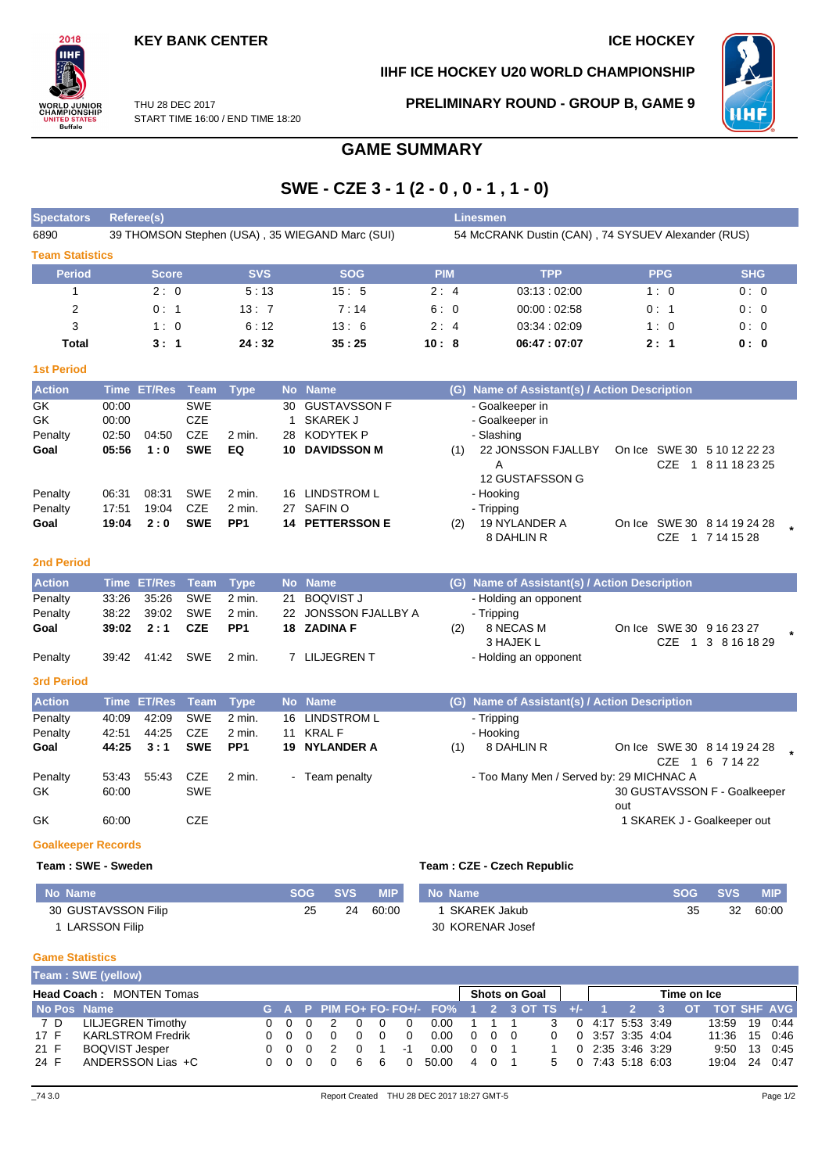

**IIHF ICE HOCKEY U20 WORLD CHAMPIONSHIP**



THU 28 DEC 2017 START TIME 16:00 / END TIME 18:20 **PRELIMINARY ROUND - GROUP B, GAME 9**

# **GAME SUMMARY**

## **SWE - CZE 3 - 1 (2 - 0 , 0 - 1 , 1 - 0)**

| <b>Spectators</b>           |                                  | Referee(s)            |                                                      |                                       |                                |                                                                                  |                                                    | <b>Linesmen</b> |                                                                                                |                                                                    |                  |         |  |  |  |  |  |
|-----------------------------|----------------------------------|-----------------------|------------------------------------------------------|---------------------------------------|--------------------------------|----------------------------------------------------------------------------------|----------------------------------------------------|-----------------|------------------------------------------------------------------------------------------------|--------------------------------------------------------------------|------------------|---------|--|--|--|--|--|
| 6890                        |                                  |                       |                                                      |                                       |                                | 39 THOMSON Stephen (USA), 35 WIEGAND Marc (SUI)                                  | 54 McCRANK Dustin (CAN), 74 SYSUEV Alexander (RUS) |                 |                                                                                                |                                                                    |                  |         |  |  |  |  |  |
| <b>Team Statistics</b>      |                                  |                       |                                                      |                                       |                                |                                                                                  |                                                    |                 |                                                                                                |                                                                    |                  |         |  |  |  |  |  |
| <b>Period</b>               |                                  | <b>Score</b>          |                                                      | <b>SVS</b>                            |                                | <b>SOG</b>                                                                       | <b>PIM</b>                                         |                 | <b>TPP</b>                                                                                     | <b>PPG</b>                                                         | <b>SHG</b>       |         |  |  |  |  |  |
| $\mathbf{1}$                |                                  | 2:0                   |                                                      | 5:13                                  |                                | 15:5                                                                             | 2:4                                                |                 | 03:13:02:00                                                                                    | 1:0                                                                | 0:0              |         |  |  |  |  |  |
| $\overline{2}$              |                                  | 0:1                   |                                                      | 13:7                                  |                                | 7:14                                                                             | 6:0                                                |                 | 00:00:02:58                                                                                    | 0: 1                                                               | 0:0              |         |  |  |  |  |  |
| 3                           |                                  | 1:0                   |                                                      | 6:12                                  |                                | 13:6                                                                             | 2:4                                                |                 | 03:34:02:09                                                                                    | 1:0                                                                | 0:0              |         |  |  |  |  |  |
| <b>Total</b>                |                                  | 3:1                   |                                                      | 24:32                                 |                                | 35:25                                                                            | 10:8                                               |                 | 06:47:07:07                                                                                    | 2:1                                                                | 0: 0             |         |  |  |  |  |  |
| <b>1st Period</b>           |                                  |                       |                                                      |                                       |                                |                                                                                  |                                                    |                 |                                                                                                |                                                                    |                  |         |  |  |  |  |  |
| <b>Action</b>               | Time                             | <b>ET/Res</b>         | Team                                                 | <b>Type</b>                           | <b>No</b>                      | <b>Name</b>                                                                      |                                                    |                 | (G) Name of Assistant(s) / Action Description                                                  |                                                                    |                  |         |  |  |  |  |  |
| GK<br>GK<br>Penalty<br>Goal | 00:00<br>00:00<br>02:50<br>05:56 | 04:50<br>1:0          | <b>SWE</b><br><b>CZE</b><br><b>CZE</b><br><b>SWE</b> | 2 min.<br>EQ                          | 30<br>$\mathbf{1}$<br>28<br>10 | <b>GUSTAVSSON F</b><br><b>SKAREK J</b><br><b>KODYTEK P</b><br><b>DAVIDSSON M</b> |                                                    | (1)             | - Goalkeeper in<br>- Goalkeeper in<br>- Slashing<br>22 JONSSON FJALLBY<br>A<br>12 GUSTAFSSON G | On Ice SWE 30 5 10 12 22 23<br><b>CZE</b>                          | 1 8 11 18 23 25  |         |  |  |  |  |  |
| Penalty<br>Penalty<br>Goal  | 06:31<br>17:51<br>19:04          | 08:31<br>19:04<br>2:0 | <b>SWE</b><br><b>CZE</b><br><b>SWE</b>               | $2$ min.<br>2 min.<br>PP <sub>1</sub> |                                | 16 LINDSTROM L<br>27 SAFIN O<br><b>14 PETTERSSON E</b>                           |                                                    | (2)             | - Hooking<br>- Tripping<br>19 NYLANDER A<br>8 DAHLIN R                                         | On Ice SWE 30 8 14 19 24 28                                        | CZE 1 7 14 15 28 |         |  |  |  |  |  |
| <b>2nd Period</b>           |                                  |                       |                                                      |                                       |                                |                                                                                  |                                                    |                 |                                                                                                |                                                                    |                  |         |  |  |  |  |  |
| <b>Action</b>               |                                  | Time ET/Res           | Team                                                 | <b>Type</b>                           |                                | No Name                                                                          |                                                    |                 | (G) Name of Assistant(s) / Action Description                                                  |                                                                    |                  |         |  |  |  |  |  |
| Penalty<br>Penalty<br>Goal  | 33:26<br>38:22<br>39:02          | 35:26<br>39:02<br>2:1 | <b>SWE</b><br><b>SWE</b><br><b>CZE</b>               | $2$ min.<br>2 min.<br>PP <sub>1</sub> | 21<br>22                       | <b>BOQVIST J</b><br>JONSSON FJALLBY A<br>18 ZADINA F                             |                                                    | (2)             | - Holding an opponent<br>- Tripping<br>8 NECAS M<br>3 HAJEK L                                  | On Ice SWE 30 9 16 23 27<br><b>CZE</b><br>$\overline{1}$           | 3 8 16 18 29     | $\star$ |  |  |  |  |  |
| Penalty                     | 39:42                            | 41:42                 | <b>SWE</b>                                           | 2 min.                                |                                | 7 LILJEGREN T                                                                    |                                                    |                 | - Holding an opponent                                                                          |                                                                    |                  |         |  |  |  |  |  |
| <b>3rd Period</b>           |                                  |                       |                                                      |                                       |                                |                                                                                  |                                                    |                 |                                                                                                |                                                                    |                  |         |  |  |  |  |  |
| <b>Action</b>               | <b>Time</b>                      | <b>ET/Res</b>         | <b>Team</b>                                          | <b>Type</b>                           | <b>No</b>                      | <b>Name</b>                                                                      |                                                    |                 | (G) Name of Assistant(s) / Action Description                                                  |                                                                    |                  |         |  |  |  |  |  |
| Penalty                     | 40:09                            | 42:09                 | <b>SWE</b>                                           | 2 min.                                |                                | 16 LINDSTROM L                                                                   |                                                    |                 | - Tripping                                                                                     |                                                                    |                  |         |  |  |  |  |  |
| Penalty                     | 42:51                            | 44:25                 | <b>CZE</b>                                           | 2 min.                                | 11                             | <b>KRALF</b>                                                                     |                                                    |                 | - Hooking                                                                                      |                                                                    |                  |         |  |  |  |  |  |
| Goal                        | 44:25                            | 3:1                   | <b>SWE</b>                                           | PP <sub>1</sub>                       |                                | 19 NYLANDER A                                                                    |                                                    | (1)             | 8 DAHLIN R                                                                                     | On Ice SWE 30 8 14 19 24 28                                        |                  |         |  |  |  |  |  |
| Penalty<br>GK<br>GK         | 53:43<br>60:00<br>60:00          | 55.43                 | <b>CZE</b><br><b>SWE</b><br><b>CZE</b>               | 2 min.                                |                                | - Team penalty                                                                   |                                                    |                 | - Too Many Men / Served by: 29 MICHNAC A                                                       | 30 GUSTAVSSON F - Goalkeeper<br>out<br>1 SKAREK J - Goalkeeper out | CZE 1 6 7 14 22  |         |  |  |  |  |  |
| <b>Goalkeeper Records</b>   |                                  |                       |                                                      |                                       |                                |                                                                                  |                                                    |                 |                                                                                                |                                                                    |                  |         |  |  |  |  |  |
| Team: SWE - Sweden          |                                  |                       |                                                      |                                       |                                |                                                                                  |                                                    |                 | Team: CZE - Czech Republic                                                                     |                                                                    |                  |         |  |  |  |  |  |

**No Name SOG SVS MIP** 30 GUSTAVSSON Filip 1 LARSSON Filip 25 24 60:00 **No Name SOG SVS MIP** 1 SKAREK Jakub 30 KORENAR Josef 35 32 60:00

#### **Game Statistics**

|                                 | Team: SWE (yellow)       |  |     |  |   |   |   |          |                                                                  |               |                   |       |          |             |  |                                   |               |  |              |
|---------------------------------|--------------------------|--|-----|--|---|---|---|----------|------------------------------------------------------------------|---------------|-------------------|-------|----------|-------------|--|-----------------------------------|---------------|--|--------------|
| <b>Head Coach: MONTEN Tomas</b> |                          |  |     |  |   |   |   |          |                                                                  | Shots on Goal |                   |       |          | Time on Ice |  |                                   |               |  |              |
| No Pos Name                     |                          |  |     |  |   |   |   |          | G A P PIM FO+ FO- FO+/- FO% 1 2 3 OT TS +/- 1 2 3 OT TOT SHF AVG |               |                   |       |          |             |  |                                   |               |  |              |
| 7 D                             | LILJEGREN Timothy        |  | 000 |  |   |   |   |          | 0.00                                                             |               |                   | 1 1 1 | 3        |             |  | $0$ 4:17 5:53 3:49                | 13:59         |  | 19 0:44      |
| 17 F                            | <b>KARLSTROM Fredrik</b> |  | 000 |  |   |   |   | $\Omega$ | 0.00                                                             |               | $0\quad 0\quad 0$ |       | $\Omega$ |             |  | $0$ 3:57 3:35 4:04                | 11:36         |  | 15 0:46      |
| 21 F                            | <b>BOQVIST Jesper</b>    |  | 000 |  |   | റ |   | -1       | 0.00                                                             |               | 0 0 1             |       |          |             |  | $0\quad 2:35\quad 3:46\quad 3:29$ |               |  | 9:50 13 0:45 |
| 24 F                            | ANDERSSON Lias +C        |  | 000 |  | 0 | 6 | 6 |          | 50.00                                                            |               | 401               |       | 5.       |             |  | 0 7:43 5:18 6:03                  | 19:04 24 0:47 |  |              |